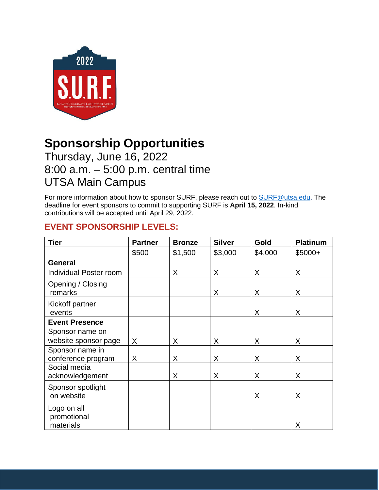

# **Sponsorship Opportunities**

## Thursday, June 16, 2022 8:00 a.m. – 5:00 p.m. central time UTSA Main Campus

For more information about how to sponsor SURF, please reach out to [SURF@utsa.edu.](mailto:SURF@utsa.edu) The deadline for event sponsors to commit to supporting SURF is **April 15, 2022**. In-kind contributions will be accepted until April 29, 2022.

### **EVENT SPONSORSHIP LEVELS:**

| <b>Tier</b>                             | <b>Partner</b> | <b>Bronze</b> | <b>Silver</b> | Gold    | <b>Platinum</b> |
|-----------------------------------------|----------------|---------------|---------------|---------|-----------------|
|                                         | \$500          | \$1,500       | \$3,000       | \$4,000 | $$5000+$        |
| <b>General</b>                          |                |               |               |         |                 |
| Individual Poster room                  |                | X             | X             | X       | X               |
| Opening / Closing<br>remarks            |                |               | X             | X       | X               |
| Kickoff partner<br>events               |                |               |               | X       | X               |
| <b>Event Presence</b>                   |                |               |               |         |                 |
| Sponsor name on                         |                |               |               |         |                 |
| website sponsor page                    | X.             | X             | X             | X       | X               |
| Sponsor name in<br>conference program   | X              | X             | X             | X       | X               |
| Social media<br>acknowledgement         |                | X             | X             | X       | X               |
| Sponsor spotlight<br>on website         |                |               |               | X       | X               |
| Logo on all<br>promotional<br>materials |                |               |               |         | Χ               |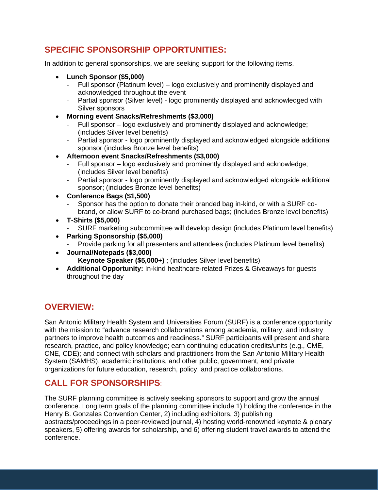#### **SPECIFIC SPONSORSHIP OPPORTUNITIES:**

In addition to general sponsorships, we are seeking support for the following items.

- **Lunch Sponsor (\$5,000)**
	- Full sponsor (Platinum level) logo exclusively and prominently displayed and acknowledged throughout the event
	- Partial sponsor (Silver level) logo prominently displayed and acknowledged with Silver sponsors
- **Morning event Snacks/Refreshments (\$3,000)**
	- Full sponsor logo exclusively and prominently displayed and acknowledge; (includes Silver level benefits)
	- Partial sponsor logo prominently displayed and acknowledged alongside additional sponsor (includes Bronze level benefits)
- **Afternoon event Snacks/Refreshments (\$3,000)**
	- Full sponsor logo exclusively and prominently displayed and acknowledge; (includes Silver level benefits)
	- Partial sponsor logo prominently displayed and acknowledged alongside additional sponsor; (includes Bronze level benefits)
- **Conference Bags (\$1,500)**
	- Sponsor has the option to donate their branded bag in-kind, or with a SURF cobrand, or allow SURF to co-brand purchased bags; (includes Bronze level benefits)
- **T-Shirts (\$5,000)**
	- SURF marketing subcommittee will develop design (includes Platinum level benefits)
- **Parking Sponsorship (\$5,000)**
	- Provide parking for all presenters and attendees (includes Platinum level benefits)
- **Journal/Notepads (\$3,000)**
	- **Keynote Speaker (\$5,000+)** ; (includes Silver level benefits)
- **Additional Opportunity:** In-kind healthcare-related Prizes & Giveaways for guests throughout the day

#### **OVERVIEW:**

San Antonio Military Health System and Universities Forum (SURF) is a conference opportunity with the mission to "advance research collaborations among academia, military, and industry partners to improve health outcomes and readiness." SURF participants will present and share research, practice, and policy knowledge; earn continuing education credits/units (e.g., CME, CNE, CDE); and connect with scholars and practitioners from the San Antonio Military Health System (SAMHS), academic institutions, and other public, government, and private organizations for future education, research, policy, and practice collaborations.

#### **CALL FOR SPONSORSHIPS**:

The SURF planning committee is actively seeking sponsors to support and grow the annual conference. Long term goals of the planning committee include 1) holding the conference in the Henry B. Gonzales Convention Center, 2) including exhibitors, 3) publishing abstracts/proceedings in a peer-reviewed journal, 4) hosting world-renowned keynote & plenary speakers, 5) offering awards for scholarship, and 6) offering student travel awards to attend the conference.